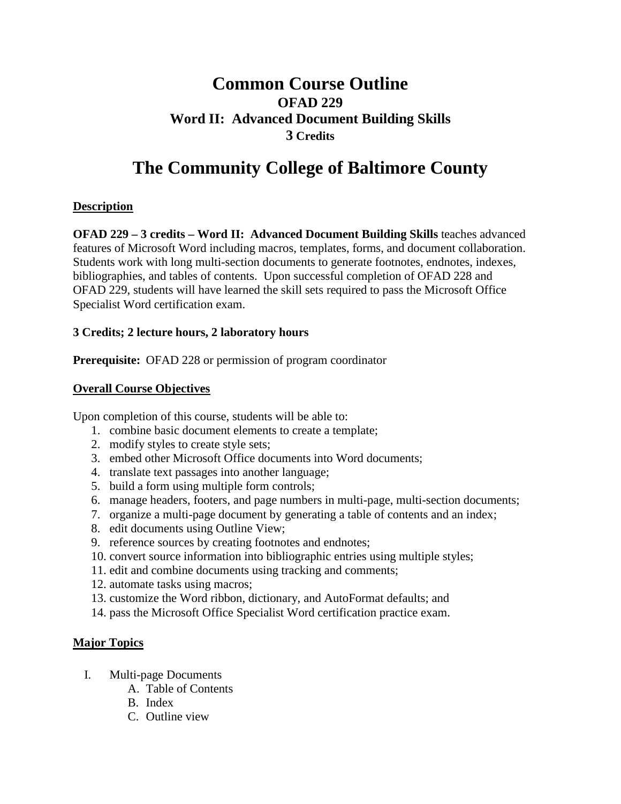## **Common Course Outline OFAD 229 Word II: Advanced Document Building Skills 3 Credits**

# **The Community College of Baltimore County**

#### **Description**

**OFAD 229 – 3 credits – Word II: Advanced Document Building Skills** teaches advanced features of Microsoft Word including macros, templates, forms, and document collaboration. Students work with long multi-section documents to generate footnotes, endnotes, indexes, bibliographies, and tables of contents. Upon successful completion of OFAD 228 and OFAD 229, students will have learned the skill sets required to pass the Microsoft Office Specialist Word certification exam.

#### **3 Credits; 2 lecture hours, 2 laboratory hours**

**Prerequisite:** OFAD 228 or permission of program coordinator

#### **Overall Course Objectives**

Upon completion of this course, students will be able to:

- 1. combine basic document elements to create a template;
- 2. modify styles to create style sets;
- 3. embed other Microsoft Office documents into Word documents;
- 4. translate text passages into another language;
- 5. build a form using multiple form controls;
- 6. manage headers, footers, and page numbers in multi-page, multi-section documents;
- 7. organize a multi-page document by generating a table of contents and an index;
- 8. edit documents using Outline View;
- 9. reference sources by creating footnotes and endnotes;
- 10. convert source information into bibliographic entries using multiple styles;
- 11. edit and combine documents using tracking and comments;
- 12. automate tasks using macros;
- 13. customize the Word ribbon, dictionary, and AutoFormat defaults; and
- 14. pass the Microsoft Office Specialist Word certification practice exam.

#### **Major Topics**

- I. Multi-page Documents
	- A. Table of Contents
	- B. Index
	- C. Outline view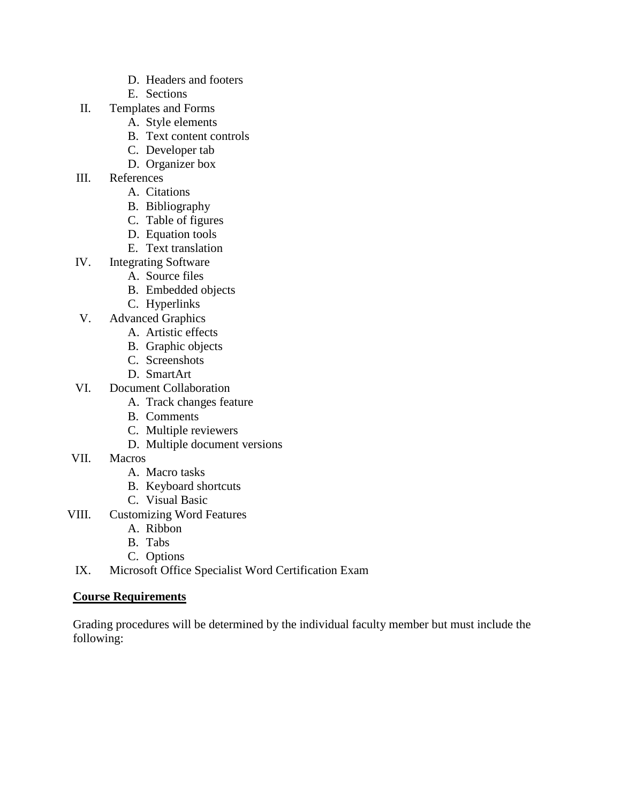- D. Headers and footers
- E. Sections
- II. Templates and Forms
	- A. Style elements
	- B. Text content controls
	- C. Developer tab
	- D. Organizer box
- III. References
	- A. Citations
	- B. Bibliography
	- C. Table of figures
	- D. Equation tools
	- E. Text translation
- IV. Integrating Software
	- A. Source files
	- B. Embedded objects
	- C. Hyperlinks
- V. Advanced Graphics
	- A. Artistic effects
	- B. Graphic objects
	- C. Screenshots
	- D. SmartArt
- VI. Document Collaboration
	- A. Track changes feature
	- B. Comments
	- C. Multiple reviewers
	- D. Multiple document versions
- VII. Macros
	- A. Macro tasks
	- B. Keyboard shortcuts
	- C. Visual Basic
- VIII. Customizing Word Features
	- A. Ribbon
	- B. Tabs
	- C. Options
- IX. Microsoft Office Specialist Word Certification Exam

#### **Course Requirements**

Grading procedures will be determined by the individual faculty member but must include the following: